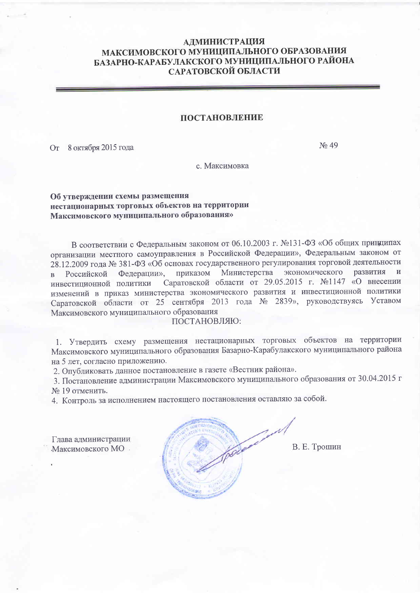## **АДМИНИСТРАЦИЯ** МАКСИМОВСКОГО МУНИЦИПАЛЬНОГО ОБРАЗОВАНИЯ БАЗАРНО-КАРАБУЛАКСКОГО МУНИЦИПАЛЬНОГО РАЙОНА САРАТОВСКОЙ ОБЛАСТИ

## ПОСТАНОВЛЕНИЕ

От 8 октября 2015 года

No 49

с. Максимовка

## Об утверждении схемы размещения нестационарных торговых объектов на территории Максимовского муниципального образования»

В соответствии с Федеральным законом от 06.10.2003 г. №131-ФЗ «Об общих принципах организации местного самоуправления в Российской Федерации», Федеральным законом от 28.12.2009 года № 381-ФЗ «Об основах государственного регулирования торговой деятельности Министерства экономического развития Федерации», приказом Российской  $\overline{B}$ Саратовской области от 29.05.2015 г. №1147 «О внесении инвестиционной политики изменений в приказ министерства экономического развития и инвестиционной политики Саратовской области от 25 сентября 2013 года № 2839», руководствуясь Уставом Максимовского муниципального образования

## ПОСТАНОВЛЯЮ:

1. Утвердить схему размещения нестационарных торговых объектов на территории Максимовского муниципального образования Базарно-Карабулакского муниципального района на 5 лет, согласно приложению.

2. Опубликовать данное постановление в газете «Вестник района».

3. Постановление администрации Максимовского муниципального образования от 30.04.2015 г № 19 отменить.

4. Контроль за исполнением настоящего постановления оставляю за собой.

Глава администрации Максимовского МО.

В. Е. Трошин